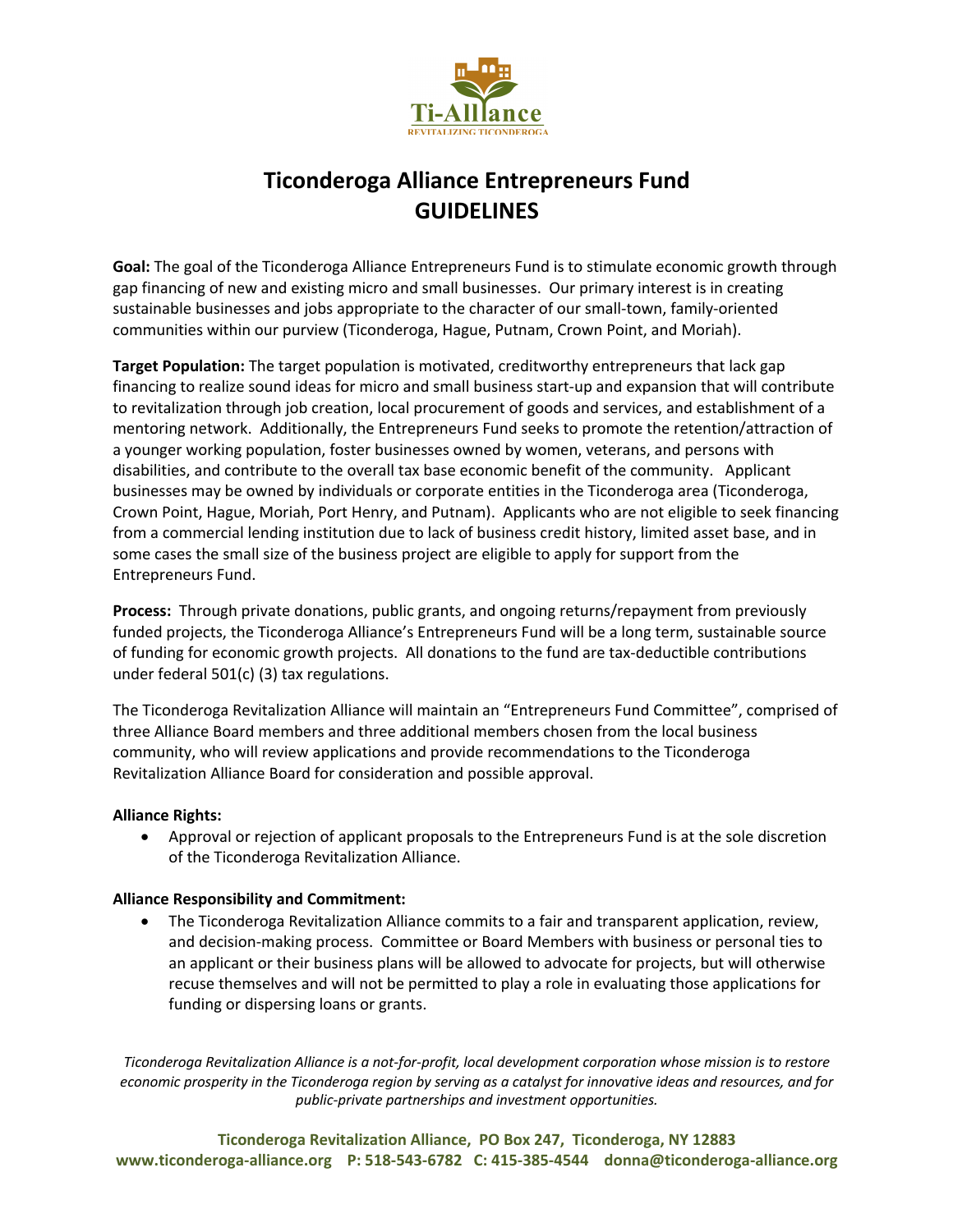

# **Ticonderoga Alliance Entrepreneurs Fund GUIDELINES**

**Goal:** The goal of the Ticonderoga Alliance Entrepreneurs Fund is to stimulate economic growth through gap financing of new and existing micro and small businesses. Our primary interest is in creating sustainable businesses and jobs appropriate to the character of our small-town, family-oriented communities within our purview (Ticonderoga, Hague, Putnam, Crown Point, and Moriah).

**Target Population:** The target population is motivated, creditworthy entrepreneurs that lack gap financing to realize sound ideas for micro and small business start-up and expansion that will contribute to revitalization through job creation, local procurement of goods and services, and establishment of a mentoring network. Additionally, the Entrepreneurs Fund seeks to promote the retention/attraction of a younger working population, foster businesses owned by women, veterans, and persons with disabilities, and contribute to the overall tax base economic benefit of the community. Applicant businesses may be owned by individuals or corporate entities in the Ticonderoga area (Ticonderoga, Crown Point, Hague, Moriah, Port Henry, and Putnam). Applicants who are not eligible to seek financing from a commercial lending institution due to lack of business credit history, limited asset base, and in some cases the small size of the business project are eligible to apply for support from the Entrepreneurs Fund.

**Process:** Through private donations, public grants, and ongoing returns/repayment from previously funded projects, the Ticonderoga Alliance's Entrepreneurs Fund will be a long term, sustainable source of funding for economic growth projects. All donations to the fund are tax-deductible contributions under federal 501(c) (3) tax regulations.

The Ticonderoga Revitalization Alliance will maintain an "Entrepreneurs Fund Committee", comprised of three Alliance Board members and three additional members chosen from the local business community, who will review applications and provide recommendations to the Ticonderoga Revitalization Alliance Board for consideration and possible approval.

#### **Alliance Rights:**

• Approval or rejection of applicant proposals to the Entrepreneurs Fund is at the sole discretion of the Ticonderoga Revitalization Alliance.

#### **Alliance Responsibility and Commitment:**

• The Ticonderoga Revitalization Alliance commits to a fair and transparent application, review, and decision-making process. Committee or Board Members with business or personal ties to an applicant or their business plans will be allowed to advocate for projects, but will otherwise recuse themselves and will not be permitted to play a role in evaluating those applications for funding or dispersing loans or grants.

*Ticonderoga Revitalization Alliance is a not-for-profit, local development corporation whose mission is to restore economic prosperity in the Ticonderoga region by serving as a catalyst for innovative ideas and resources, and for public-private partnerships and investment opportunities.*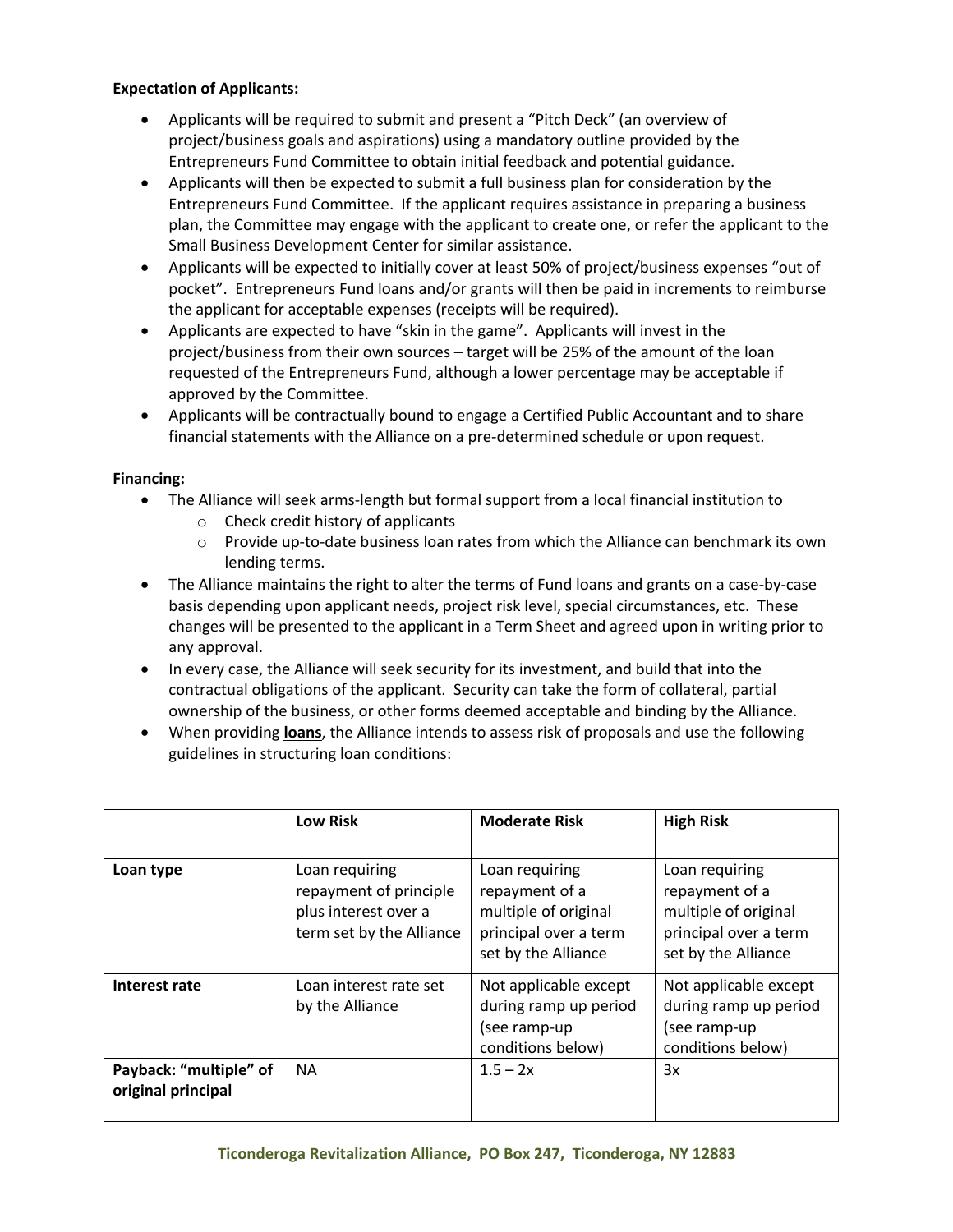#### **Expectation of Applicants:**

- Applicants will be required to submit and present a "Pitch Deck" (an overview of project/business goals and aspirations) using a mandatory outline provided by the Entrepreneurs Fund Committee to obtain initial feedback and potential guidance.
- Applicants will then be expected to submit a full business plan for consideration by the Entrepreneurs Fund Committee. If the applicant requires assistance in preparing a business plan, the Committee may engage with the applicant to create one, or refer the applicant to the Small Business Development Center for similar assistance.
- Applicants will be expected to initially cover at least 50% of project/business expenses "out of pocket". Entrepreneurs Fund loans and/or grants will then be paid in increments to reimburse the applicant for acceptable expenses (receipts will be required).
- Applicants are expected to have "skin in the game". Applicants will invest in the project/business from their own sources – target will be 25% of the amount of the loan requested of the Entrepreneurs Fund, although a lower percentage may be acceptable if approved by the Committee.
- Applicants will be contractually bound to engage a Certified Public Accountant and to share financial statements with the Alliance on a pre-determined schedule or upon request.

### **Financing:**

- The Alliance will seek arms-length but formal support from a local financial institution to
	- o Check credit history of applicants
	- $\circ$  Provide up-to-date business loan rates from which the Alliance can benchmark its own lending terms.
- The Alliance maintains the right to alter the terms of Fund loans and grants on a case-by-case basis depending upon applicant needs, project risk level, special circumstances, etc. These changes will be presented to the applicant in a Term Sheet and agreed upon in writing prior to any approval.
- In every case, the Alliance will seek security for its investment, and build that into the contractual obligations of the applicant. Security can take the form of collateral, partial ownership of the business, or other forms deemed acceptable and binding by the Alliance.
- When providing **loans**, the Alliance intends to assess risk of proposals and use the following guidelines in structuring loan conditions:

|                                              | <b>Low Risk</b>                                                                              | <b>Moderate Risk</b>                                                                                     | <b>High Risk</b>                                                                                         |
|----------------------------------------------|----------------------------------------------------------------------------------------------|----------------------------------------------------------------------------------------------------------|----------------------------------------------------------------------------------------------------------|
| Loan type                                    | Loan requiring<br>repayment of principle<br>plus interest over a<br>term set by the Alliance | Loan requiring<br>repayment of a<br>multiple of original<br>principal over a term<br>set by the Alliance | Loan requiring<br>repayment of a<br>multiple of original<br>principal over a term<br>set by the Alliance |
| Interest rate                                | Loan interest rate set<br>by the Alliance                                                    | Not applicable except<br>during ramp up period<br>(see ramp-up<br>conditions below)                      | Not applicable except<br>during ramp up period<br>(see ramp-up<br>conditions below)                      |
| Payback: "multiple" of<br>original principal | <b>NA</b>                                                                                    | $1.5 - 2x$                                                                                               | 3x                                                                                                       |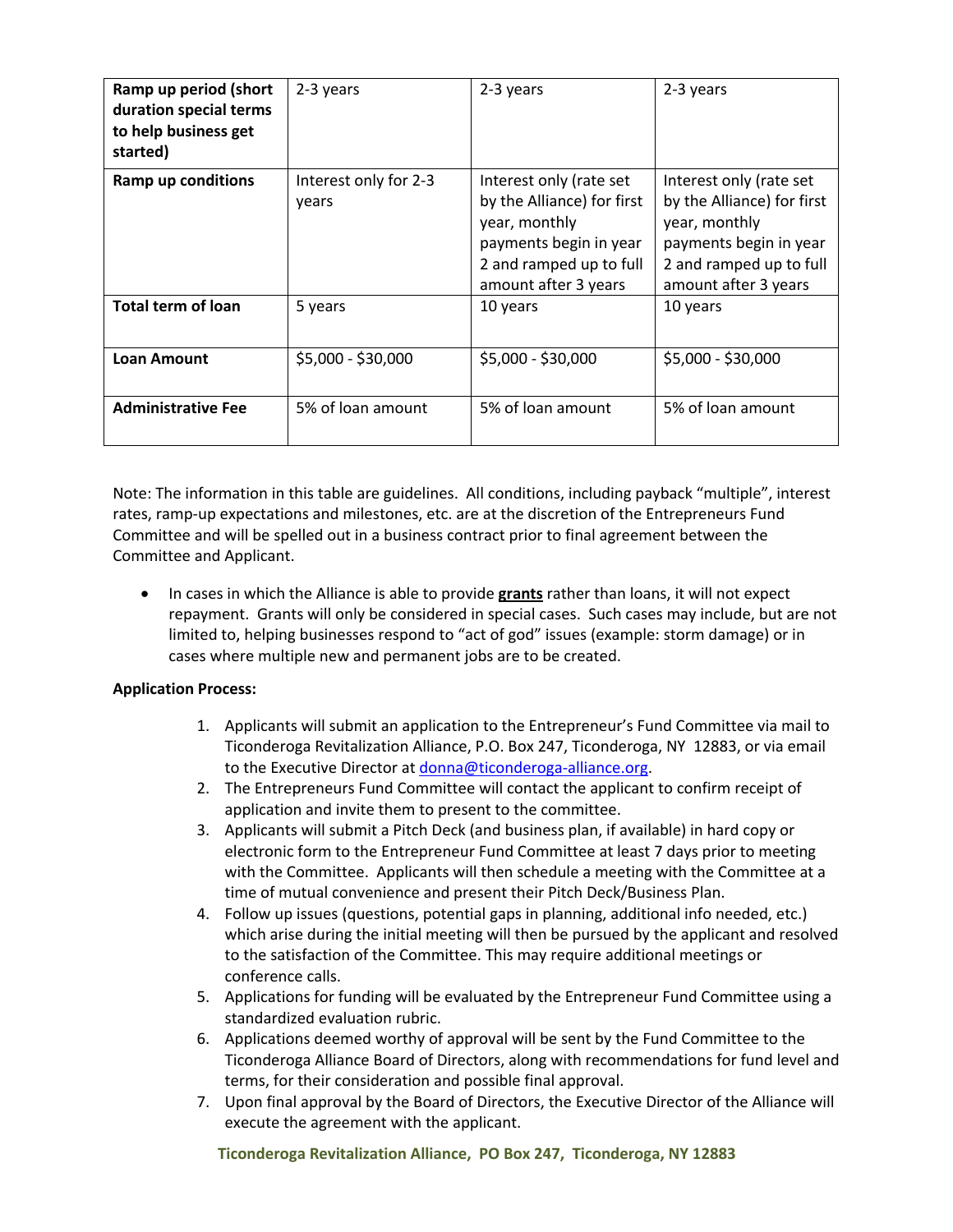| Ramp up period (short<br>duration special terms<br>to help business get<br>started) | 2-3 years                      | 2-3 years                                                                                                                                           | 2-3 years                                                                                                                                           |
|-------------------------------------------------------------------------------------|--------------------------------|-----------------------------------------------------------------------------------------------------------------------------------------------------|-----------------------------------------------------------------------------------------------------------------------------------------------------|
| <b>Ramp up conditions</b>                                                           | Interest only for 2-3<br>years | Interest only (rate set<br>by the Alliance) for first<br>year, monthly<br>payments begin in year<br>2 and ramped up to full<br>amount after 3 years | Interest only (rate set<br>by the Alliance) for first<br>year, monthly<br>payments begin in year<br>2 and ramped up to full<br>amount after 3 years |
| <b>Total term of loan</b>                                                           | 5 years                        | 10 years                                                                                                                                            | 10 years                                                                                                                                            |
| <b>Loan Amount</b>                                                                  | $$5,000 - $30,000$             | \$5,000 - \$30,000                                                                                                                                  | \$5,000 - \$30,000                                                                                                                                  |
| <b>Administrative Fee</b>                                                           | 5% of loan amount              | 5% of loan amount                                                                                                                                   | 5% of loan amount                                                                                                                                   |

Note: The information in this table are guidelines. All conditions, including payback "multiple", interest rates, ramp-up expectations and milestones, etc. are at the discretion of the Entrepreneurs Fund Committee and will be spelled out in a business contract prior to final agreement between the Committee and Applicant.

• In cases in which the Alliance is able to provide **grants** rather than loans, it will not expect repayment. Grants will only be considered in special cases. Such cases may include, but are not limited to, helping businesses respond to "act of god" issues (example: storm damage) or in cases where multiple new and permanent jobs are to be created.

## **Application Process:**

- 1. Applicants will submit an application to the Entrepreneur's Fund Committee via mail to Ticonderoga Revitalization Alliance, P.O. Box 247, Ticonderoga, NY 12883, or via email to the Executive Director at donna@ticonderoga-alliance.org.
- 2. The Entrepreneurs Fund Committee will contact the applicant to confirm receipt of application and invite them to present to the committee.
- 3. Applicants will submit a Pitch Deck (and business plan, if available) in hard copy or electronic form to the Entrepreneur Fund Committee at least 7 days prior to meeting with the Committee. Applicants will then schedule a meeting with the Committee at a time of mutual convenience and present their Pitch Deck/Business Plan.
- 4. Follow up issues (questions, potential gaps in planning, additional info needed, etc.) which arise during the initial meeting will then be pursued by the applicant and resolved to the satisfaction of the Committee. This may require additional meetings or conference calls.
- 5. Applications for funding will be evaluated by the Entrepreneur Fund Committee using a standardized evaluation rubric.
- 6. Applications deemed worthy of approval will be sent by the Fund Committee to the Ticonderoga Alliance Board of Directors, along with recommendations for fund level and terms, for their consideration and possible final approval.
- 7. Upon final approval by the Board of Directors, the Executive Director of the Alliance will execute the agreement with the applicant.

**Ticonderoga Revitalization Alliance, PO Box 247, Ticonderoga, NY 12883**